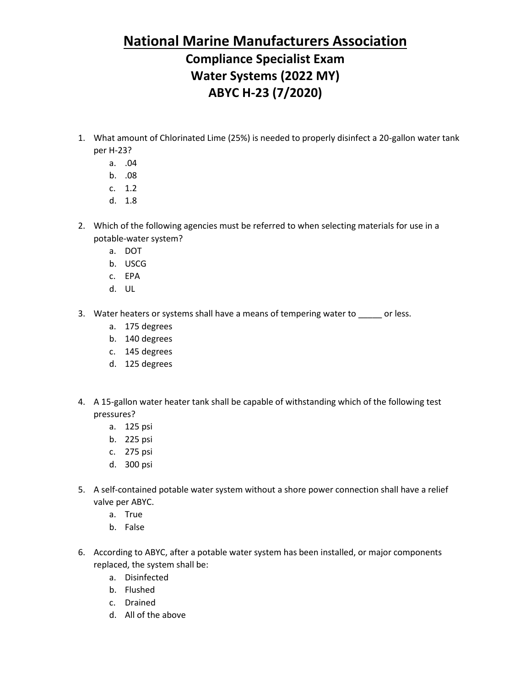#### **National Marine Manufacturers Association**

## **Compliance Specialist Exam Water Systems (2022 MY) ABYC H-23 (7/2020)**

- 1. What amount of Chlorinated Lime (25%) is needed to properly disinfect a 20-gallon water tank per H-23?
	- a. .04
	- b. .08
	- c. 1.2
	- d. 1.8
- 2. Which of the following agencies must be referred to when selecting materials for use in a potable-water system?
	- a. DOT
	- b. USCG
	- c. EPA
	- d. UL
- 3. Water heaters or systems shall have a means of tempering water to \_\_\_\_\_ or less.
	- a. 175 degrees
	- b. 140 degrees
	- c. 145 degrees
	- d. 125 degrees
- 4. A 15-gallon water heater tank shall be capable of withstanding which of the following test pressures?
	- a. 125 psi
	- b. 225 psi
	- c. 275 psi
	- d. 300 psi
- 5. A self-contained potable water system without a shore power connection shall have a relief valve per ABYC.
	- a. True
	- b. False
- 6. According to ABYC, after a potable water system has been installed, or major components replaced, the system shall be:
	- a. Disinfected
	- b. Flushed
	- c. Drained
	- d. All of the above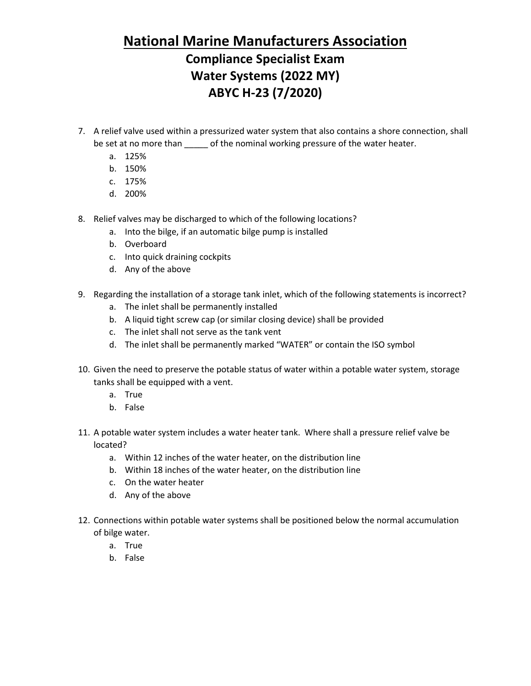### **National Marine Manufacturers Association**

## **Compliance Specialist Exam Water Systems (2022 MY) ABYC H-23 (7/2020)**

- 7. A relief valve used within a pressurized water system that also contains a shore connection, shall be set at no more than \_\_\_\_\_ of the nominal working pressure of the water heater.
	- a. 125%
	- b. 150%
	- c. 175%
	- d. 200%
- 8. Relief valves may be discharged to which of the following locations?
	- a. Into the bilge, if an automatic bilge pump is installed
	- b. Overboard
	- c. Into quick draining cockpits
	- d. Any of the above
- 9. Regarding the installation of a storage tank inlet, which of the following statements is incorrect?
	- a. The inlet shall be permanently installed
	- b. A liquid tight screw cap (or similar closing device) shall be provided
	- c. The inlet shall not serve as the tank vent
	- d. The inlet shall be permanently marked "WATER" or contain the ISO symbol
- 10. Given the need to preserve the potable status of water within a potable water system, storage tanks shall be equipped with a vent.
	- a. True
	- b. False
- 11. A potable water system includes a water heater tank. Where shall a pressure relief valve be located?
	- a. Within 12 inches of the water heater, on the distribution line
	- b. Within 18 inches of the water heater, on the distribution line
	- c. On the water heater
	- d. Any of the above
- 12. Connections within potable water systems shall be positioned below the normal accumulation of bilge water.
	- a. True
	- b. False